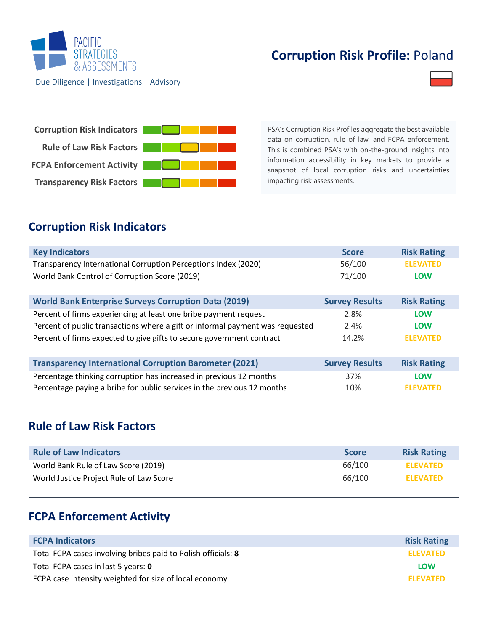

## **Corruption Risk Profile:** Poland



PSA's Corruption Risk Profiles aggregate the best available data on corruption, rule of law, and FCPA enforcement. This is combined PSA's with on-the-ground insights into information accessibility in key markets to provide a snapshot of local corruption risks and uncertainties impacting risk assessments.

### **Corruption Risk Indicators**

| <b>Key Indicators</b>                                                         | <b>Score</b>          | <b>Risk Rating</b> |
|-------------------------------------------------------------------------------|-----------------------|--------------------|
| Transparency International Corruption Perceptions Index (2020)                | 56/100                | <b>ELEVATED</b>    |
| World Bank Control of Corruption Score (2019)                                 | 71/100                | <b>LOW</b>         |
| <b>World Bank Enterprise Surveys Corruption Data (2019)</b>                   | <b>Survey Results</b> | <b>Risk Rating</b> |
| Percent of firms experiencing at least one bribe payment request              | 2.8%                  | <b>LOW</b>         |
| Percent of public transactions where a gift or informal payment was requested | 2.4%                  | <b>LOW</b>         |
| Percent of firms expected to give gifts to secure government contract         | 14.2%                 | <b>ELEVATED</b>    |
| <b>Transparency International Corruption Barometer (2021)</b>                 | <b>Survey Results</b> | <b>Risk Rating</b> |
| Percentage thinking corruption has increased in previous 12 months            | 37%                   | <b>LOW</b>         |
| Percentage paying a bribe for public services in the previous 12 months       | 10%                   | <b>ELEVATED</b>    |

### **Rule of Law Risk Factors**

| <b>Rule of Law Indicators</b>           | <b>Score</b> | <b>Risk Rating</b> |
|-----------------------------------------|--------------|--------------------|
| World Bank Rule of Law Score (2019)     | 66/100       | <b>ELEVATED</b>    |
| World Justice Project Rule of Law Score | 66/100       | <b>ELEVATED</b>    |

### **FCPA Enforcement Activity**

| <b>FCPA Indicators</b>                                        | <b>Risk Rating</b> |
|---------------------------------------------------------------|--------------------|
| Total FCPA cases involving bribes paid to Polish officials: 8 | <b>ELEVATED</b>    |
| Total FCPA cases in last 5 years: 0                           | LOW                |
| FCPA case intensity weighted for size of local economy        | <b>ELEVATED</b>    |